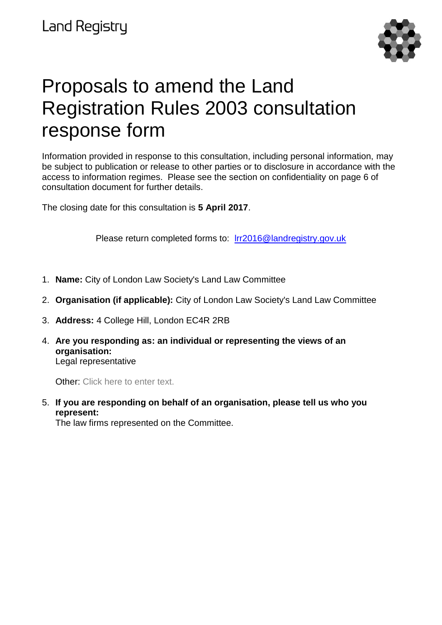

# Proposals to amend the Land Registration Rules 2003 consultation response form

Information provided in response to this consultation, including personal information, may be subject to publication or release to other parties or to disclosure in accordance with the access to information regimes. Please see the section on confidentiality on page 6 of consultation document for further details.

The closing date for this consultation is **5 April 2017**.

Please return completed forms to: [lrr2016@landregistry.gov.uk](mailto:lrr2016@landregistry.gov.uk)

- 1. **Name:** City of London Law Society's Land Law Committee
- 2. **Organisation (if applicable):** City of London Law Society's Land Law Committee
- 3. **Address:** 4 College Hill, London EC4R 2RB
- 4. **Are you responding as: an individual or representing the views of an organisation:** Legal representative

Other: Click here to enter text.

5. **If you are responding on behalf of an organisation, please tell us who you represent:**

The law firms represented on the Committee.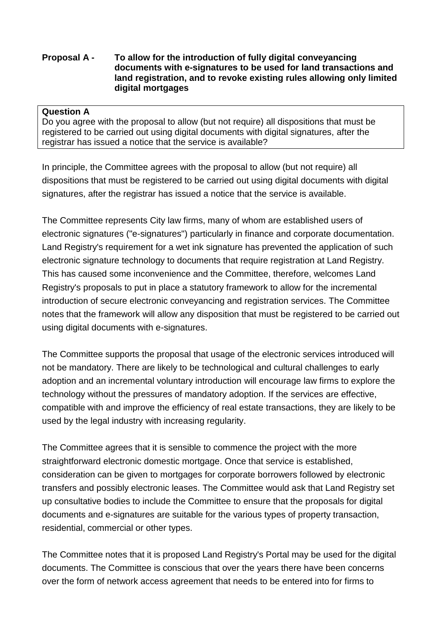## **Proposal A - To allow for the introduction of fully digital conveyancing documents with e-signatures to be used for land transactions and land registration, and to revoke existing rules allowing only limited digital mortgages**

### **Question A**

Do you agree with the proposal to allow (but not require) all dispositions that must be registered to be carried out using digital documents with digital signatures, after the registrar has issued a notice that the service is available?

In principle, the Committee agrees with the proposal to allow (but not require) all dispositions that must be registered to be carried out using digital documents with digital signatures, after the registrar has issued a notice that the service is available.

The Committee represents City law firms, many of whom are established users of electronic signatures ("e-signatures") particularly in finance and corporate documentation. Land Registry's requirement for a wet ink signature has prevented the application of such electronic signature technology to documents that require registration at Land Registry. This has caused some inconvenience and the Committee, therefore, welcomes Land Registry's proposals to put in place a statutory framework to allow for the incremental introduction of secure electronic conveyancing and registration services. The Committee notes that the framework will allow any disposition that must be registered to be carried out using digital documents with e-signatures.

The Committee supports the proposal that usage of the electronic services introduced will not be mandatory. There are likely to be technological and cultural challenges to early adoption and an incremental voluntary introduction will encourage law firms to explore the technology without the pressures of mandatory adoption. If the services are effective, compatible with and improve the efficiency of real estate transactions, they are likely to be used by the legal industry with increasing regularity.

The Committee agrees that it is sensible to commence the project with the more straightforward electronic domestic mortgage. Once that service is established, consideration can be given to mortgages for corporate borrowers followed by electronic transfers and possibly electronic leases. The Committee would ask that Land Registry set up consultative bodies to include the Committee to ensure that the proposals for digital documents and e-signatures are suitable for the various types of property transaction, residential, commercial or other types.

The Committee notes that it is proposed Land Registry's Portal may be used for the digital documents. The Committee is conscious that over the years there have been concerns over the form of network access agreement that needs to be entered into for firms to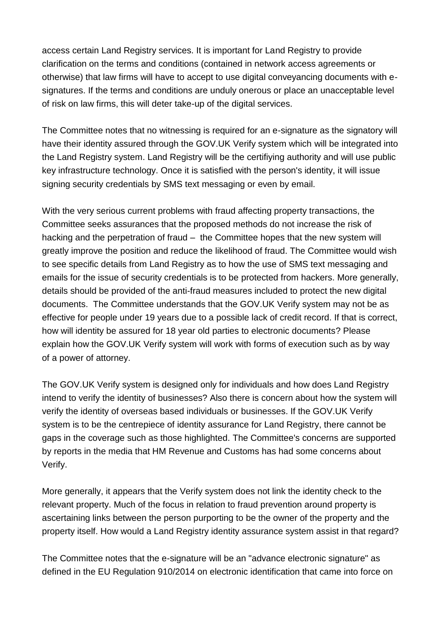access certain Land Registry services. It is important for Land Registry to provide clarification on the terms and conditions (contained in network access agreements or otherwise) that law firms will have to accept to use digital conveyancing documents with esignatures. If the terms and conditions are unduly onerous or place an unacceptable level of risk on law firms, this will deter take-up of the digital services.

The Committee notes that no witnessing is required for an e-signature as the signatory will have their identity assured through the GOV.UK Verify system which will be integrated into the Land Registry system. Land Registry will be the certifiying authority and will use public key infrastructure technology. Once it is satisfied with the person's identity, it will issue signing security credentials by SMS text messaging or even by email.

With the very serious current problems with fraud affecting property transactions, the Committee seeks assurances that the proposed methods do not increase the risk of hacking and the perpetration of fraud – the Committee hopes that the new system will greatly improve the position and reduce the likelihood of fraud. The Committee would wish to see specific details from Land Registry as to how the use of SMS text messaging and emails for the issue of security credentials is to be protected from hackers. More generally, details should be provided of the anti-fraud measures included to protect the new digital documents. The Committee understands that the GOV.UK Verify system may not be as effective for people under 19 years due to a possible lack of credit record. If that is correct, how will identity be assured for 18 year old parties to electronic documents? Please explain how the GOV.UK Verify system will work with forms of execution such as by way of a power of attorney.

The GOV.UK Verify system is designed only for individuals and how does Land Registry intend to verify the identity of businesses? Also there is concern about how the system will verify the identity of overseas based individuals or businesses. If the GOV.UK Verify system is to be the centrepiece of identity assurance for Land Registry, there cannot be gaps in the coverage such as those highlighted. The Committee's concerns are supported by reports in the media that HM Revenue and Customs has had some concerns about Verify.

More generally, it appears that the Verify system does not link the identity check to the relevant property. Much of the focus in relation to fraud prevention around property is ascertaining links between the person purporting to be the owner of the property and the property itself. How would a Land Registry identity assurance system assist in that regard?

The Committee notes that the e-signature will be an "advance electronic signature" as defined in the EU Regulation 910/2014 on electronic identification that came into force on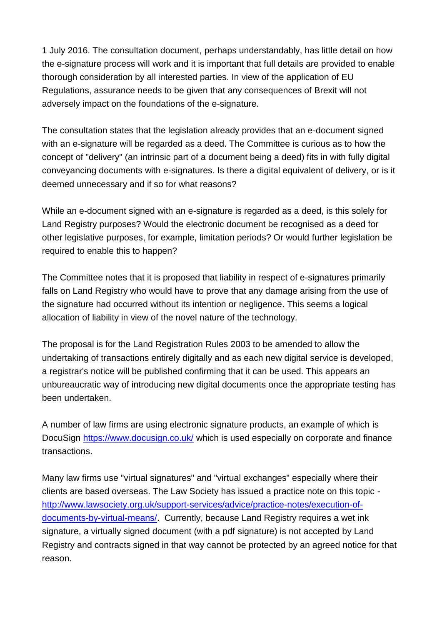1 July 2016. The consultation document, perhaps understandably, has little detail on how the e-signature process will work and it is important that full details are provided to enable thorough consideration by all interested parties. In view of the application of EU Regulations, assurance needs to be given that any consequences of Brexit will not adversely impact on the foundations of the e-signature.

The consultation states that the legislation already provides that an e-document signed with an e-signature will be regarded as a deed. The Committee is curious as to how the concept of "delivery" (an intrinsic part of a document being a deed) fits in with fully digital conveyancing documents with e-signatures. Is there a digital equivalent of delivery, or is it deemed unnecessary and if so for what reasons?

While an e-document signed with an e-signature is regarded as a deed, is this solely for Land Registry purposes? Would the electronic document be recognised as a deed for other legislative purposes, for example, limitation periods? Or would further legislation be required to enable this to happen?

The Committee notes that it is proposed that liability in respect of e-signatures primarily falls on Land Registry who would have to prove that any damage arising from the use of the signature had occurred without its intention or negligence. This seems a logical allocation of liability in view of the novel nature of the technology.

The proposal is for the Land Registration Rules 2003 to be amended to allow the undertaking of transactions entirely digitally and as each new digital service is developed, a registrar's notice will be published confirming that it can be used. This appears an unbureaucratic way of introducing new digital documents once the appropriate testing has been undertaken.

A number of law firms are using electronic signature products, an example of which is DocuSign<https://www.docusign.co.uk/> which is used especially on corporate and finance transactions.

Many law firms use "virtual signatures" and "virtual exchanges" especially where their clients are based overseas. The Law Society has issued a practice note on this topic [http://www.lawsociety.org.uk/support-services/advice/practice-notes/execution-of](http://www.lawsociety.org.uk/support-services/advice/practice-notes/execution-of-documents-by-virtual-means/)[documents-by-virtual-means/.](http://www.lawsociety.org.uk/support-services/advice/practice-notes/execution-of-documents-by-virtual-means/) Currently, because Land Registry requires a wet ink signature, a virtually signed document (with a pdf signature) is not accepted by Land Registry and contracts signed in that way cannot be protected by an agreed notice for that reason.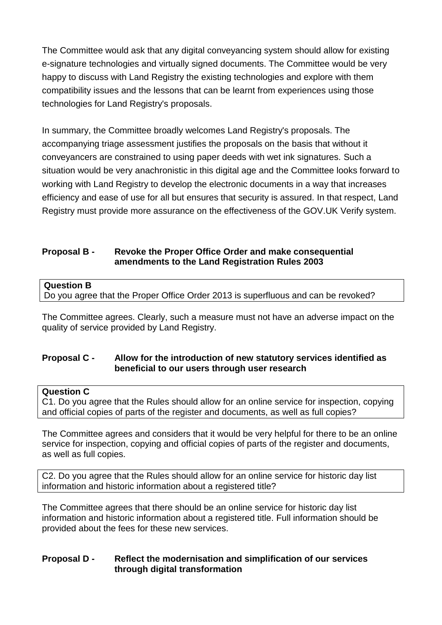The Committee would ask that any digital conveyancing system should allow for existing e-signature technologies and virtually signed documents. The Committee would be very happy to discuss with Land Registry the existing technologies and explore with them compatibility issues and the lessons that can be learnt from experiences using those technologies for Land Registry's proposals.

In summary, the Committee broadly welcomes Land Registry's proposals. The accompanying triage assessment justifies the proposals on the basis that without it conveyancers are constrained to using paper deeds with wet ink signatures. Such a situation would be very anachronistic in this digital age and the Committee looks forward to working with Land Registry to develop the electronic documents in a way that increases efficiency and ease of use for all but ensures that security is assured. In that respect, Land Registry must provide more assurance on the effectiveness of the GOV.UK Verify system.

## **Proposal B - Revoke the Proper Office Order and make consequential amendments to the Land Registration Rules 2003**

#### **Question B**

Do you agree that the Proper Office Order 2013 is superfluous and can be revoked?

The Committee agrees. Clearly, such a measure must not have an adverse impact on the quality of service provided by Land Registry.

## **Proposal C - Allow for the introduction of new statutory services identified as beneficial to our users through user research**

#### **Question C**

C1. Do you agree that the Rules should allow for an online service for inspection, copying and official copies of parts of the register and documents, as well as full copies?

The Committee agrees and considers that it would be very helpful for there to be an online service for inspection, copying and official copies of parts of the register and documents, as well as full copies.

C2. Do you agree that the Rules should allow for an online service for historic day list information and historic information about a registered title?

The Committee agrees that there should be an online service for historic day list information and historic information about a registered title. Full information should be provided about the fees for these new services.

#### **Proposal D - Reflect the modernisation and simplification of our services through digital transformation**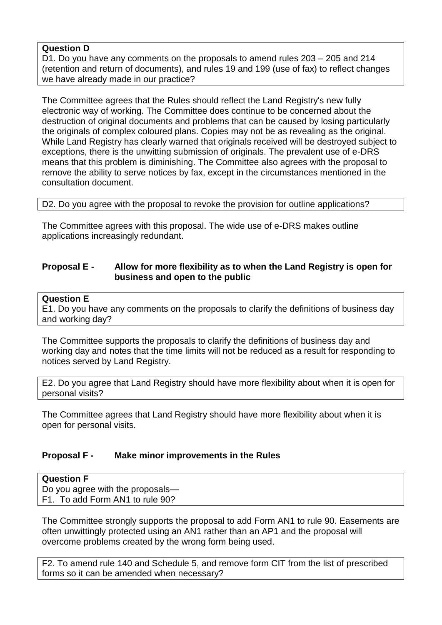## **Question D**

D1. Do you have any comments on the proposals to amend rules 203 – 205 and 214 (retention and return of documents), and rules 19 and 199 (use of fax) to reflect changes we have already made in our practice?

The Committee agrees that the Rules should reflect the Land Registry's new fully electronic way of working. The Committee does continue to be concerned about the destruction of original documents and problems that can be caused by losing particularly the originals of complex coloured plans. Copies may not be as revealing as the original. While Land Registry has clearly warned that originals received will be destroyed subject to exceptions, there is the unwitting submission of originals. The prevalent use of e-DRS means that this problem is diminishing. The Committee also agrees with the proposal to remove the ability to serve notices by fax, except in the circumstances mentioned in the consultation document.

D2. Do you agree with the proposal to revoke the provision for outline applications?

The Committee agrees with this proposal. The wide use of e-DRS makes outline applications increasingly redundant.

### **Proposal E - Allow for more flexibility as to when the Land Registry is open for business and open to the public**

#### **Question E**

E1. Do you have any comments on the proposals to clarify the definitions of business day and working day?

The Committee supports the proposals to clarify the definitions of business day and working day and notes that the time limits will not be reduced as a result for responding to notices served by Land Registry.

E2. Do you agree that Land Registry should have more flexibility about when it is open for personal visits?

The Committee agrees that Land Registry should have more flexibility about when it is open for personal visits.

## **Proposal F - Make minor improvements in the Rules**

| <b>Question F</b>                |  |
|----------------------------------|--|
| Do you agree with the proposals— |  |
| F1. To add Form AN1 to rule 90?  |  |

The Committee strongly supports the proposal to add Form AN1 to rule 90. Easements are often unwittingly protected using an AN1 rather than an AP1 and the proposal will overcome problems created by the wrong form being used.

F2. To amend rule 140 and Schedule 5, and remove form CIT from the list of prescribed forms so it can be amended when necessary?